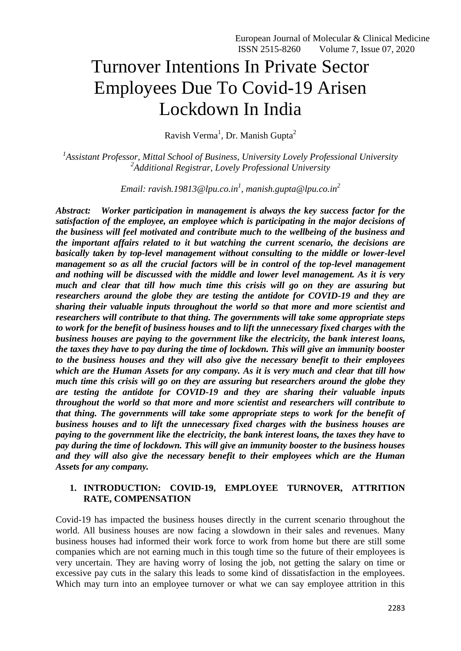# Turnover Intentions In Private Sector Employees Due To Covid-19 Arisen Lockdown In India

Ravish Verma<sup>1</sup>, Dr. Manish Gupta<sup>2</sup>

*1 Assistant Professor, Mittal School of Business, University Lovely Professional University 2 Additional Registrar, Lovely Professional University*

*Email: [ravish.19813@lpu.co.in](mailto:ravish.19813@lpu.co.in)<sup>1</sup> , manish.gupta@lpu.co.in<sup>2</sup>*

*Abstract: Worker participation in management is always the key success factor for the satisfaction of the employee, an employee which is participating in the major decisions of the business will feel motivated and contribute much to the wellbeing of the business and the important affairs related to it but watching the current scenario, the decisions are basically taken by top-level management without consulting to the middle or lower-level management so as all the crucial factors will be in control of the top-level management and nothing will be discussed with the middle and lower level management. As it is very much and clear that till how much time this crisis will go on they are assuring but researchers around the globe they are testing the antidote for COVID-19 and they are sharing their valuable inputs throughout the world so that more and more scientist and researchers will contribute to that thing. The governments will take some appropriate steps to work for the benefit of business houses and to lift the unnecessary fixed charges with the business houses are paying to the government like the electricity, the bank interest loans, the taxes they have to pay during the time of lockdown. This will give an immunity booster to the business houses and they will also give the necessary benefit to their employees which are the Human Assets for any company. As it is very much and clear that till how much time this crisis will go on they are assuring but researchers around the globe they are testing the antidote for COVID-19 and they are sharing their valuable inputs throughout the world so that more and more scientist and researchers will contribute to that thing. The governments will take some appropriate steps to work for the benefit of business houses and to lift the unnecessary fixed charges with the business houses are paying to the government like the electricity, the bank interest loans, the taxes they have to pay during the time of lockdown. This will give an immunity booster to the business houses and they will also give the necessary benefit to their employees which are the Human Assets for any company.*

# **1. INTRODUCTION: COVID-19, EMPLOYEE TURNOVER, ATTRITION RATE, COMPENSATION**

Covid-19 has impacted the business houses directly in the current scenario throughout the world. All business houses are now facing a slowdown in their sales and revenues. Many business houses had informed their work force to work from home but there are still some companies which are not earning much in this tough time so the future of their employees is very uncertain. They are having worry of losing the job, not getting the salary on time or excessive pay cuts in the salary this leads to some kind of dissatisfaction in the employees. Which may turn into an employee turnover or what we can say employee attrition in this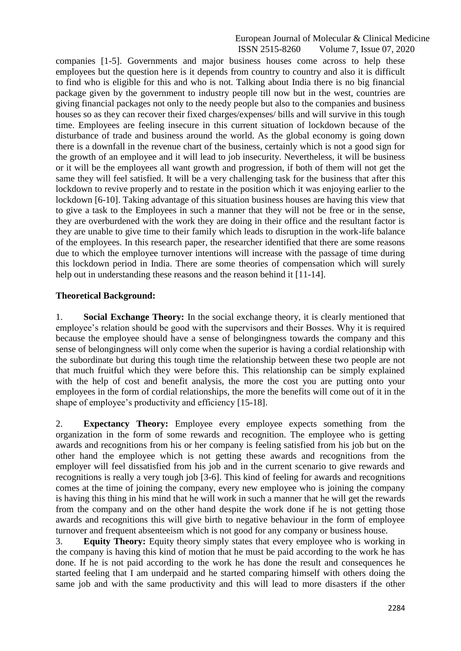#### European Journal of Molecular & Clinical Medicine ISSN 2515-8260 Volume 7, Issue 07, 2020

companies [1-5]. Governments and major business houses come across to help these employees but the question here is it depends from country to country and also it is difficult to find who is eligible for this and who is not. Talking about India there is no big financial package given by the government to industry people till now but in the west, countries are giving financial packages not only to the needy people but also to the companies and business houses so as they can recover their fixed charges/expenses/ bills and will survive in this tough time. Employees are feeling insecure in this current situation of lockdown because of the disturbance of trade and business around the world. As the global economy is going down there is a downfall in the revenue chart of the business, certainly which is not a good sign for the growth of an employee and it will lead to job insecurity. Nevertheless, it will be business or it will be the employees all want growth and progression, if both of them will not get the same they will feel satisfied. It will be a very challenging task for the business that after this lockdown to revive properly and to restate in the position which it was enjoying earlier to the lockdown [6-10]. Taking advantage of this situation business houses are having this view that to give a task to the Employees in such a manner that they will not be free or in the sense, they are overburdened with the work they are doing in their office and the resultant factor is they are unable to give time to their family which leads to disruption in the work-life balance of the employees. In this research paper, the researcher identified that there are some reasons due to which the employee turnover intentions will increase with the passage of time during this lockdown period in India. There are some theories of compensation which will surely help out in understanding these reasons and the reason behind it [11-14].

#### **Theoretical Background:**

1. **Social Exchange Theory:** In the social exchange theory, it is clearly mentioned that employee's relation should be good with the supervisors and their Bosses. Why it is required because the employee should have a sense of belongingness towards the company and this sense of belongingness will only come when the superior is having a cordial relationship with the subordinate but during this tough time the relationship between these two people are not that much fruitful which they were before this. This relationship can be simply explained with the help of cost and benefit analysis, the more the cost you are putting onto your employees in the form of cordial relationships, the more the benefits will come out of it in the shape of employee's productivity and efficiency [15-18].

2. **Expectancy Theory:** Employee every employee expects something from the organization in the form of some rewards and recognition. The employee who is getting awards and recognitions from his or her company is feeling satisfied from his job but on the other hand the employee which is not getting these awards and recognitions from the employer will feel dissatisfied from his job and in the current scenario to give rewards and recognitions is really a very tough job [3-6]. This kind of feeling for awards and recognitions comes at the time of joining the company, every new employee who is joining the company is having this thing in his mind that he will work in such a manner that he will get the rewards from the company and on the other hand despite the work done if he is not getting those awards and recognitions this will give birth to negative behaviour in the form of employee turnover and frequent absenteeism which is not good for any company or business house.

3. **Equity Theory:** Equity theory simply states that every employee who is working in the company is having this kind of motion that he must be paid according to the work he has done. If he is not paid according to the work he has done the result and consequences he started feeling that I am underpaid and he started comparing himself with others doing the same job and with the same productivity and this will lead to more disasters if the other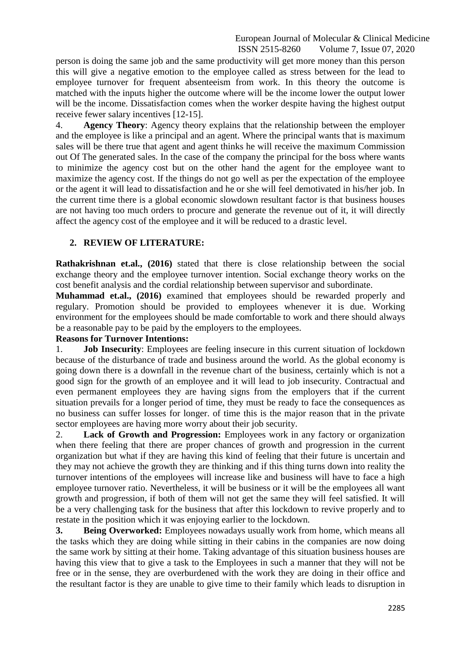European Journal of Molecular & Clinical Medicine ISSN 2515-8260 Volume 7, Issue 07, 2020

person is doing the same job and the same productivity will get more money than this person this will give a negative emotion to the employee called as stress between for the lead to employee turnover for frequent absenteeism from work. In this theory the outcome is matched with the inputs higher the outcome where will be the income lower the output lower will be the income. Dissatisfaction comes when the worker despite having the highest output receive fewer salary incentives [12-15].

4. **Agency Theory**: Agency theory explains that the relationship between the employer and the employee is like a principal and an agent. Where the principal wants that is maximum sales will be there true that agent and agent thinks he will receive the maximum Commission out Of The generated sales. In the case of the company the principal for the boss where wants to minimize the agency cost but on the other hand the agent for the employee want to maximize the agency cost. If the things do not go well as per the expectation of the employee or the agent it will lead to dissatisfaction and he or she will feel demotivated in his/her job. In the current time there is a global economic slowdown resultant factor is that business houses are not having too much orders to procure and generate the revenue out of it, it will directly affect the agency cost of the employee and it will be reduced to a drastic level.

# **2. REVIEW OF LITERATURE:**

**Rathakrishnan et.al., (2016)** stated that there is close relationship between the social exchange theory and the employee turnover intention. Social exchange theory works on the cost benefit analysis and the cordial relationship between supervisor and subordinate.

**Muhammad et.al., (2016)** examined that employees should be rewarded properly and regulary. Promotion should be provided to employees whenever it is due. Working environment for the employees should be made comfortable to work and there should always be a reasonable pay to be paid by the employers to the employees.

## **Reasons for Turnover Intentions:**

1. **Job Insecurity**: Employees are feeling insecure in this current situation of lockdown because of the disturbance of trade and business around the world. As the global economy is going down there is a downfall in the revenue chart of the business, certainly which is not a good sign for the growth of an employee and it will lead to job insecurity. Contractual and even permanent employees they are having signs from the employers that if the current situation prevails for a longer period of time, they must be ready to face the consequences as no business can suffer losses for longer. of time this is the major reason that in the private sector employees are having more worry about their job security.

2. **Lack of Growth and Progression:** Employees work in any factory or organization when there feeling that there are proper chances of growth and progression in the current organization but what if they are having this kind of feeling that their future is uncertain and they may not achieve the growth they are thinking and if this thing turns down into reality the turnover intentions of the employees will increase like and business will have to face a high employee turnover ratio. Nevertheless, it will be business or it will be the employees all want growth and progression, if both of them will not get the same they will feel satisfied. It will be a very challenging task for the business that after this lockdown to revive properly and to restate in the position which it was enjoying earlier to the lockdown.

**3. Being Overworked:** Employees nowadays usually work from home, which means all the tasks which they are doing while sitting in their cabins in the companies are now doing the same work by sitting at their home. Taking advantage of this situation business houses are having this view that to give a task to the Employees in such a manner that they will not be free or in the sense, they are overburdened with the work they are doing in their office and the resultant factor is they are unable to give time to their family which leads to disruption in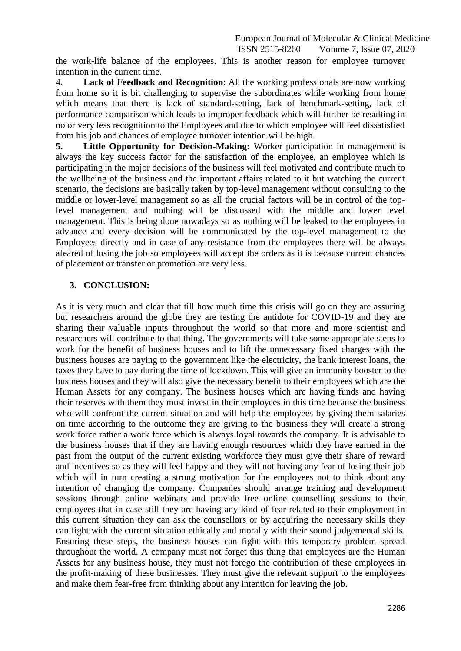European Journal of Molecular & Clinical Medicine ISSN 2515-8260 Volume 7, Issue 07, 2020

the work-life balance of the employees. This is another reason for employee turnover intention in the current time.

4. **Lack of Feedback and Recognition**: All the working professionals are now working from home so it is bit challenging to supervise the subordinates while working from home which means that there is lack of standard-setting, lack of benchmark-setting, lack of performance comparison which leads to improper feedback which will further be resulting in no or very less recognition to the Employees and due to which employee will feel dissatisfied from his job and chances of employee turnover intention will be high.

**5. Little Opportunity for Decision-Making:** Worker participation in management is always the key success factor for the satisfaction of the employee, an employee which is participating in the major decisions of the business will feel motivated and contribute much to the wellbeing of the business and the important affairs related to it but watching the current scenario, the decisions are basically taken by top-level management without consulting to the middle or lower-level management so as all the crucial factors will be in control of the toplevel management and nothing will be discussed with the middle and lower level management. This is being done nowadays so as nothing will be leaked to the employees in advance and every decision will be communicated by the top-level management to the Employees directly and in case of any resistance from the employees there will be always afeared of losing the job so employees will accept the orders as it is because current chances of placement or transfer or promotion are very less.

#### **3. CONCLUSION:**

As it is very much and clear that till how much time this crisis will go on they are assuring but researchers around the globe they are testing the antidote for COVID-19 and they are sharing their valuable inputs throughout the world so that more and more scientist and researchers will contribute to that thing. The governments will take some appropriate steps to work for the benefit of business houses and to lift the unnecessary fixed charges with the business houses are paying to the government like the electricity, the bank interest loans, the taxes they have to pay during the time of lockdown. This will give an immunity booster to the business houses and they will also give the necessary benefit to their employees which are the Human Assets for any company. The business houses which are having funds and having their reserves with them they must invest in their employees in this time because the business who will confront the current situation and will help the employees by giving them salaries on time according to the outcome they are giving to the business they will create a strong work force rather a work force which is always loyal towards the company. It is advisable to the business houses that if they are having enough resources which they have earned in the past from the output of the current existing workforce they must give their share of reward and incentives so as they will feel happy and they will not having any fear of losing their job which will in turn creating a strong motivation for the employees not to think about any intention of changing the company. Companies should arrange training and development sessions through online webinars and provide free online counselling sessions to their employees that in case still they are having any kind of fear related to their employment in this current situation they can ask the counsellors or by acquiring the necessary skills they can fight with the current situation ethically and morally with their sound judgemental skills. Ensuring these steps, the business houses can fight with this temporary problem spread throughout the world. A company must not forget this thing that employees are the Human Assets for any business house, they must not forego the contribution of these employees in the profit-making of these businesses. They must give the relevant support to the employees and make them fear-free from thinking about any intention for leaving the job.